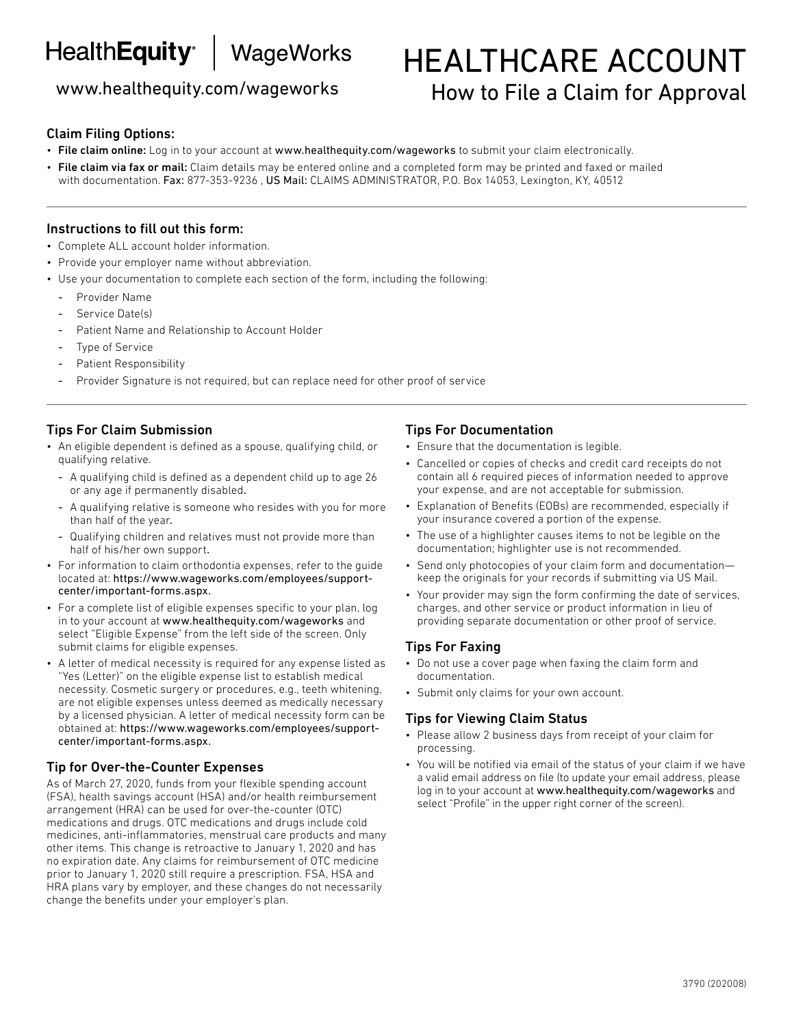# HealthEquity<sup>e</sup> | WageWorks

## www.healthequity.com/wageworks

# HEALTHCARE ACCOUNT How to File a Claim for Approval

#### Claim Filing Options:

- File claim online: Log in to your account at www.healthequity.com/wageworks to submit your claim electronically.
- File claim via fax or mail: Claim details may be entered online and a completed form may be printed and faxed or mailed with documentation. Fax: 877-353-9236, US Mail: CLAIMS ADMINISTRATOR, P.O. Box 14053, Lexington, KY, 40512

#### Instructions to fill out this form:

- Complete ALL account holder information.
- Provide your employer name without abbreviation.
- Use your documentation to complete each section of the form, including the following:
	- Provider Name
	- Service Date(s)
	- Patient Name and Relationship to Account Holder
	- Type of Service
	- Patient Responsibility
	- Provider Signature is not required, but can replace need for other proof of service

#### Tips For Claim Submission

- An eligible dependent is defined as a spouse, qualifying child, or qualifying relative.
	- A qualifying child is defined as a dependent child up to age 26 or any age if permanently disabled.
	- A qualifying relative is someone who resides with you for more than half of the year.
	- Qualifying children and relatives must not provide more than half of his/her own support.
- For information to claim orthodontia expenses, refer to the guide located at: https://www.wageworks.com/employees/supportcenter/important-forms.aspx.
- For a complete list of eligible expenses specific to your plan, log in to your account at www.healthequity.com/wageworks and select "Eligible Expense" from the left side of the screen. Only submit claims for eligible expenses.
- A letter of medical necessity is required for any expense listed as "Yes (Letter)" on the eligible expense list to establish medical necessity. Cosmetic surgery or procedures, e.g., teeth whitening, are not eligible expenses unless deemed as medically necessary by a licensed physician. A letter of medical necessity form can be obtained at: https://www.wageworks.com/employees/supportcenter/important-forms.aspx.

#### Tip for Over-the-Counter Expenses

As of March 27, 2020, funds from your flexible spending account (FSA), health savings account (HSA) and/or health reimbursement arrangement (HRA) can be used for over-the-counter (OTC) medications and drugs. OTC medications and drugs include cold medicines, anti-inflammatories, menstrual care products and many other items. This change is retroactive to January 1, 2020 and has no expiration date. Any claims for reimbursement of OTC medicine prior to January 1, 2020 still require a prescription. FSA, HSA and HRA plans vary by employer, and these changes do not necessarily change the benefits under your employer's plan.

#### Tips For Documentation

• Ensure that the documentation is legible.

- Cancelled or copies of checks and credit card receipts do not contain all 6 required pieces of information needed to approve your expense, and are not acceptable for submission.
- Explanation of Benefits (EOBs) are recommended, especially if your insurance covered a portion of the expense.
- The use of a highlighter causes items to not be legible on the documentation; highlighter use is not recommended.
- Send only photocopies of your claim form and documentation keep the originals for your records if submitting via US Mail.
- Your provider may sign the form confirming the date of services, charges, and other service or product information in lieu of providing separate documentation or other proof of service.

#### Tips For Faxing

- Do not use a cover page when faxing the claim form and documentation.
- Submit only claims for your own account.

#### Tips for Viewing Claim Status

- Please allow 2 business days from receipt of your claim for processing.
- You will be notified via email of the status of your claim if we have a valid email address on file (to update your email address, please log in to your account at www.healthequity.com/wageworks and select "Profile" in the upper right corner of the screen).